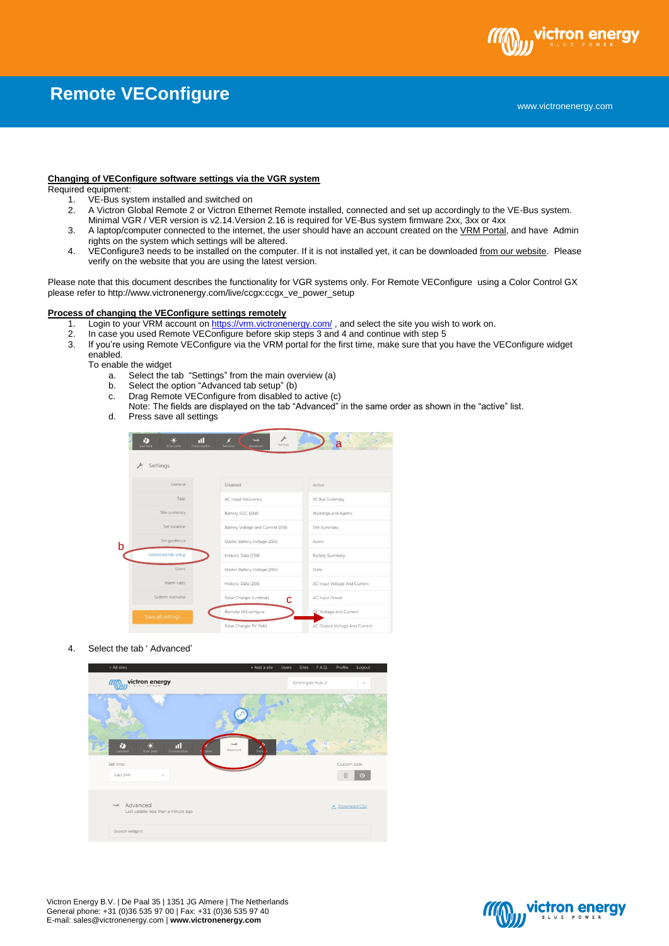

# **Remote VEConfigure**

### **Changing of VEConfigure software settings via the VGR system**

#### Required equipment:

- 1. VE-Bus system installed and switched on
- 2. A Victron Global Remote 2 or Victron Ethernet Remote installed, connected and set up accordingly to the VE-Bus system. Minimal VGR / VER version is v2.14.Version 2.16 is required for VE-Bus system firmware 2xx, 3xx or 4xx
- 3. A laptop/computer connected to the internet, the user should have an account created on th[e VRM Portal,](https://vrm.victronenergy.com/) and have Admin rights on the system which settings will be altered.
- 4. VEConfigure3 needs to be installed on the computer. If it is not installed yet, it can be downloaded [from our website.](http://www.victronenergy.com/support-and-downloads/software/) Please verify on the website that you are using the latest version.

Please note that this document describes the functionality for VGR systems only. For Remote VEConfigure using a Color Control GX please refer to http://www.victronenergy.com/live/ccgx:ccgx\_ve\_power\_setup

## **Process of changing the VEConfigure settings remotely**

- 1. Login to your VRM account o[n https://vrm.victronenergy.com/](https://vrm.victronenergy.com/), and select the site you wish to work on.<br>2. In case you used Remote VEConfigure before skip steps 3 and 4 and continue with step 5
- 2. In case you used Remote VEConfigure before skip steps 3 and 4 and continue with step 5<br>3. If you're using Remote VEConfigure via the VRM portal for the first time, make sure that you
- If you're using Remote VEConfigure via the VRM portal for the first time, make sure that you have the VEConfigure widget enabled.

To enable the widget<br>a. Select the t

- Select the tab "Settings" from the main overview (a)
- b. Select the option "Advanced tab setup" (b)
- c. Drag Remote VEConfigure from disabled to active (c)
- Note: The fields are displayed on the tab "Advanced" in the same order as shown in the "active" list.
- d. Press save all settings

| ö.<br>N)<br>ш<br>Live feed<br>Solar yield<br>Consumption | $A = 1$<br>Settings<br>Advanced<br><b>Batteries</b> | a                             |
|----------------------------------------------------------|-----------------------------------------------------|-------------------------------|
| Settings<br>۶                                            |                                                     |                               |
| General                                                  | Disabled                                            | Active                        |
| Tags                                                     | AC Input Frequency                                  | VE.Bus Summary                |
| Site summary                                             | Battery SOC [258]                                   | Warnings and Alarms           |
| Set location                                             | Battery Voltage and Current [258]                   | Site Summary                  |
| Set geofence                                             | Starter Battery Voltage [258]                       | Alarm                         |
| Advanced tab setup                                       | Historic Data [258]                                 | <b>Battery Summary</b>        |
| Users                                                    | Starter Battery Voltage (256)                       | State.                        |
| Alarm rules                                              | Historic Data [256]                                 | AC Input Voltage And Current  |
| System overview                                          | Solar Charger Summary<br>с                          | <b>AC Input Power</b>         |
| Save all settings                                        | Remote VEConfigure                                  | DC Voltage And Current        |
|                                                          | Solar Charger PV Yield                              | AC Output Voltage And Current |

4. Select the tab ' Advanced'



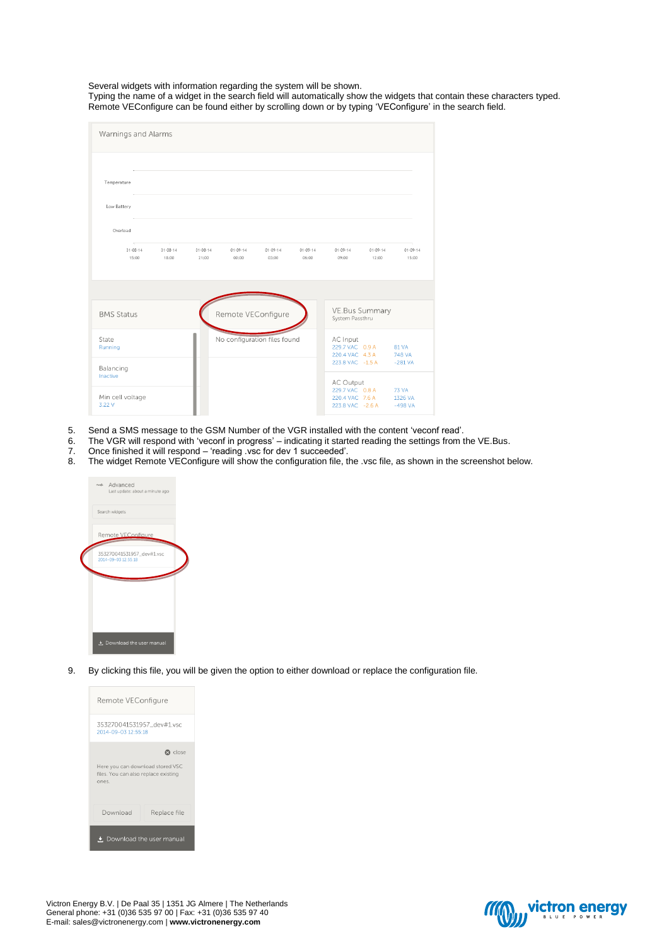Several widgets with information regarding the system will be shown.

Typing the name of a widget in the search field will automatically show the widgets that contain these characters typed. Remote VEConfigure can be found either by scrolling down or by typing 'VEConfigure' in the search field.

| Warnings and Alarms                    |                         |                         |                         |                              |                         |                                                                            |                         |                                      |
|----------------------------------------|-------------------------|-------------------------|-------------------------|------------------------------|-------------------------|----------------------------------------------------------------------------|-------------------------|--------------------------------------|
| Temperature<br>Low Battery<br>Overload |                         |                         |                         |                              |                         |                                                                            |                         |                                      |
| $31 - 08 - 14$<br>15:00                | $31 - 08 - 14$<br>18:00 | $31 - 08 - 14$<br>21:00 | $01 - 09 - 14$<br>00:00 | $01 - 09 - 14$<br>03:00      | $01 - 09 - 14$<br>06:00 | $01 - 09 - 14$<br>09:00                                                    | $01 - 09 - 14$<br>12:00 | $01 - 09 - 14$<br>15:00              |
|                                        |                         |                         |                         |                              |                         |                                                                            |                         |                                      |
| <b>BMS Status</b>                      |                         |                         | Remote VEConfigure      |                              |                         | VE.Bus Summary<br>System Passthru                                          |                         |                                      |
| State<br>Running                       |                         |                         |                         | No configuration files found |                         | AC Input<br>229.7 VAC 0.9 A<br>220.4 VAC 4.3 A                             |                         | 81 VA<br>748 VA                      |
| Balancing<br>Inactive                  |                         |                         |                         |                              |                         | 223.8 VAC -1.5 A                                                           |                         | $-281$ VA                            |
| Min cell voltage<br>3.22 V             |                         |                         |                         |                              |                         | <b>AC Output</b><br>229.7 VAC 0.8 A<br>220.4 VAC 7.6 A<br>223.8 VAC -2.6 A |                         | <b>73 VA</b><br>1326 VA<br>$-498$ VA |

- 5. Send a SMS message to the GSM Number of the VGR installed with the content 'veconf read'.<br>6. The VGR will respond with 'veconf in progress' indicating it started reading the settings from t
- 6. The VGR will respond with 'veconf in progress' indicating it started reading the settings from the VE.Bus.<br>7. Once finished it will respond 'reading vsc for dev 1 succeeded'.
- 7. Once finished it will respond 'reading .vsc for dev 1 succeeded'.
- 8. The widget Remote VEConfigure will show the configuration file, the .vsc file, as shown in the screenshot below.



9. By clicking this file, you will be given the option to either download or replace the configuration file.